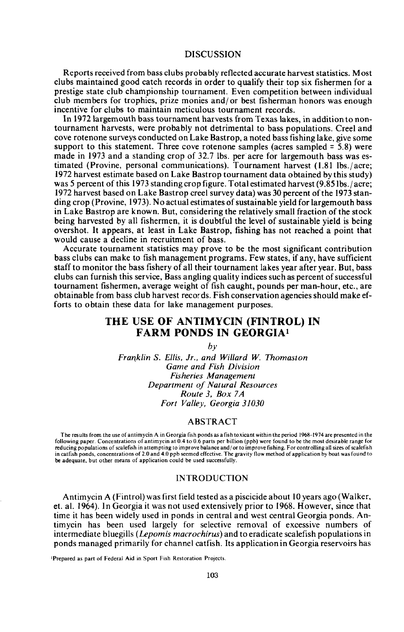# **DISCUSSION**

Reports received from bass clubs probably reflected accurate harvest statistics. Most clubs maintained good catch records in order to qualify their top six fishermen for a prestige state club championship tournament. Even competition between individual club members for trophies, prize monies and/ or best fisherman honors was enough incentive for clubs to maintain meticulous tournament records.

In 1972 largemouth bass tournament harvests from Texas lakes, in addition to nontournament harvests, were probably not detrimental to bass populations. Creel and cove rotenone surveys conducted on Lake Bastrop, a noted bass fishing lake, give some support to this statement. Three cove rotenone samples (acres sampled  $= 5.8$ ) were made in 1973 and a standing crop of 32.7 lbs. per acre for largemouth bass was estimated (Provine, personal communications). Tournament harvest (1.81 lbs./acre; 1972 harvest estimate based on Lake Bastrop tournament data obtained by this study) was 5 percent of this 1973 standing crop figure. Total estimated harvest (9.85lbs./ acre; 1972 harvest based on Lake Bastrop creel survey data) was 30 percent ofthe 1973 standing crop (Provine, 1973). No actual estimates of sustainable yield for largemouth bass in Lake Bastrop are known. But, considering the relatively small fraction of the stock being harvested by all fishermen, it is doubtful the level of sustainable yield is being overshot. It appears, at least in Lake Bastrop, fishing has not reached a point that would cause a decline in recruitment of bass.

Accurate tournament statistics may prove to be the most significant contribution bass clubs can make to fish management programs. Few states, if any, have sufficient staff to monitor the bass fishery of all their tournament lakes year after year. But, bass clubs can furnish this service. Bass angling quality indices such as percent of successful tournament fishermen, average weight of fish caught, pounds per man-hour, etc., are obtainable from bass club harvest records. Fish conservation agencies should make efforts to obtain these data for lake management purposes.

# THE USE OF ANTIMYCIN (FINTROL) IN FARM PONDS IN GEORGIAl

*by*

*Fral1klin* S. *Ellis, Jr., and Willard* W. *Thomaston Game and Fish Division Fisheries Management Department of Natural Resources Route* 3, *Box* 7*A Fort Valley, Georgia 31030*

## ABSTRACT

The results from the use of antimycin A in Georgia fish ponds as a fish toxicant within the period 1968-1974 are presented in the following paper. Concentrations of antimycin at 0.4 to 0.6 parts per billion (ppb) were found to be the most desirable range for reducing populations of scalefish in attempting to improve balance and/ or to improve fishing. For controlling all sizes ofscalefish in catfish ponds, concentrations of 2.0 and 4.0 ppb seemed effective. The gravity flow method of application by boat was found to be adequate, but other means of application could be used successfully.

## INTRODUCTION

Antimycin A (Fintrol) was first field tested as a piscicide about 10 years ago (Walker, et. al. 1964). In Georgia it was not used extensively prior to 1968. However, since that time it has been widely used in ponds in central and west central Georgia ponds. Antimycin has been used largely for selective removal of excessive numbers of intermediate bluegills *(Lepomis macrochirus)* and to eradicate scalefish populations in ponds managed primarily for channel catfish. Its application in Georgia reservoirs has

<sup>I</sup>Prepared as part of Federal Aid in Sport Fish Restoration Projects.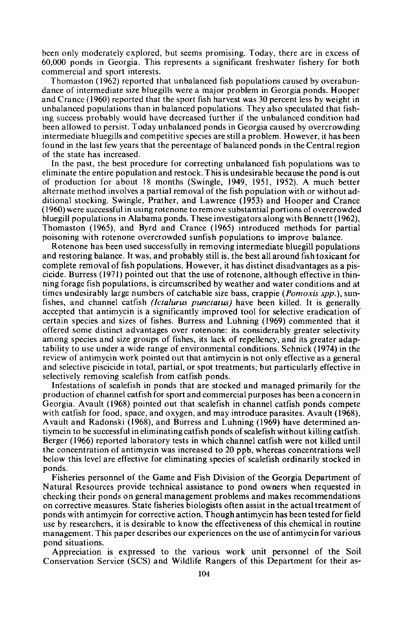been only moderately explored, but seems promising. Today, there are in excess of 60,000 ponds in Georgia. This represents a significant freshwater fishery for both commercial and sport interests.

Thomaston (1962) reported that unbalanced fish populations caused by overabundance of intermediate size bluegills were a major problem in Georgia ponds. Hooper and Crance (1960) reported that the sport fish harvest was 30 percent less by weight in unbalanced populations than in balanced populations. They also speculated that fishing success probably would have decreased further if the unbalanced condition had been allowed to persist. Today unbalanced ponds in Georgia caused by overcrowding intermediate bluegills and competitive species are still a problem. However, it has been found in the last few years that the percentage of balanced ponds in the Central region of the state has increased.

In the past, the best procedure for correcting unbalanced fish populations was to eliminate the entire population and restock. This is undesirable because the pond is out of production for about 18 months (Swingle, 1949, 1951, 1952). A much better alternate method involves a partial removal of the fish population with or without additional stocking. Swingle, Prather, and Lawrence (1953) and Hooper and Crance (1960) were successful in using rotenone to remove substantial portions of overcrowded bluegill populations in Alabama ponds. These investigators along with Bennett (1962), Thomaston (1965), and Byrd and Crance (1965) introduced methods for partial poisoning with rotenone overcrowded sunfish populations to improve balance.

Rotenone has been used successfully in removing intermediate bluegill populations and restoring balance. It was, and probably still is, the best all around fish toxicant for complete removal of fish populations. However, it has distinct disadvantages as a piscicide. Burress (1971) pointed out that the use of rotenone, although effective in thinning forage fish populations, is circumscribed by weather and water conditions and at times undesirably large numbers of catchable size bass, crappie *(Pomoxis spp.),* sunfishes, and channel catfish *(lctalurus punctatus)* have been killed. It is generally accepted that antimycin is a significantly improved tool for selective eradication of certain species and sizes of fishes. Burress and Luhning (1969) commented that it offered some distinct advantages over rotenone: its considerably greater selectivity among species and size groups of fishes, its lack of repellency, and its greater adaptability to use under a wide range of environmental conditions. Schnick (1974) in the review of antimycin work pointed out that antimycin is not only effective as a general and selective piscicide in total, partial, or spot treatments; but particularly effective in selectively removing scalefish from catfish ponds.

Infestations of scalefish in ponds that are stocked and managed primarily for the production of channel catfish for sport and commercial purposes has been a concern in Georgia. Avault (1968) pointed out that scalefish in channel catfish ponds compete with catfish for food, space, and oxygen, and may introduce parasites. Avault (1968), Avault and Radonski (1968), and Burress and Luhning (1969) have determined antiymcin to be successful in eliminating catfish ponds of scalefish without killing catfish. Berger (1966) reported laboratory tests in which channel catfish were not killed until the concentration of antimycin was increased to 20 ppb, whereas concentrations well below this level are effective for eliminating species of scalefish ordinarily stocked in ponds.

Fisheries personnel of the Game and Fish Division of the Georgia Department of Natural Resources provide technical assistance to pond owners when requested in checking their ponds on general management problems and makes recommendations on corrective measures. State fisheries biologists often assist in the actual treatment of ponds with antimycin for corrective action. Though antimycin has been tested for field use by researchers, it is desirable to know the effectiveness of this chemical in routine management. This paper describes our experiences on the use of antimycin for various pond situations.

Appreciation is expressed to the various work unit personnel of the Soil Conservation Service (SCS) and Wildlife Rangers of this Department for their as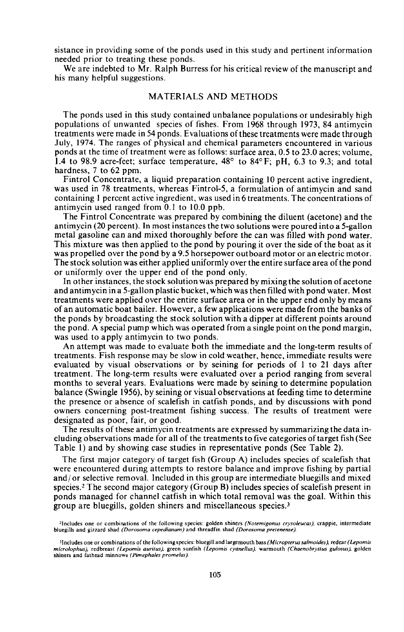sistance in providing some of the ponds used in this study and pertinent information needed prior to treating these ponds.

We are indebted to Mr. Ralph Burress for his critical review of the manuscript and his many helpful suggestions.

## MATERIALS AND METHODS

The ponds used in this study contained unbalance populations or undesirably high populations of unwanted species of fishes. From 1968 through 1973, 84 antimycin treatments were made in 54 ponds. Evaluations of these treatments were made through July, 1974. The ranges of physical and chemical parameters encountered in various ponds at the time of treatment were as follows: surface area, 0.5 to 23.0 acres; volume, 1.4 to 98.9 acre-feet; surface temperature, *48°* to *84°* F; pH, 6.3 to 9.3; and total hardness, 7 to 62 ppm.

Fintrol Concentrate, a liquid preparation containing 10 percent active ingredient, was used in 78 treatments, whereas Fintrol-5, a formulation of antimycin and sand containing I percent active ingredient, was used in 6 treatments. The concentrations of antimycin used ranged from 0.1 to 10.0 ppb.

The Fintrol Concentrate was prepared by combining the diluent (acetone) and the antimycin (20 percent). In most instances the two solutions were poured into a 5-gallon metal gasoline can and mixed thoroughly before the can was filled with pond water. This mixture was then applied to the pond by pouring it over the side of the boat as it was propelled over the pond by a 9.5 horsepower outboard motor or an electric motor. The stock solution was either applied uniformly over the entire surface area ofthe pond or uniformly over the upper end of the pond only.

In other instances, the stock solution was prepared by mixing the solution of acetone and antimycin in a 5-gallon plastic bucket, which was then filled with pond water. Most treatments were applied over the entire surface area or in the upper end only by means of an automatic boat bailer. However, a few applications were made from the banks of the ponds by broadcasting the stock solution with a dipper at different points around the pond. A special pump which was operated from a single point on the pond margin, was used to apply antimycin to two ponds.

An attempt was made to evaluate both the immediate and the long-term results of treatments. Fish response may be slow in cold weather, hence, immediate results were evaluated by visual observations or by seining for periods of I to 21 days after treatment. The long-term results were evaluated over a period ranging from several months to several years. Evaluations were made by seining to determine population balance (Swingle 1956), by seining or visual observations at feeding time to determine the presence or absence of scalefish in catfish ponds, and by discussions with pond owners concerning post-treatment fishing success. The results of treatment were designated as poor, fair, or good.

The results of these antimycin treatments are expressed by summarizing the data including observations made for all of the treatments to five categories oftarget fish (See Table I) and by showing case studies in representative ponds (See Table 2).

The first major category of target fish (Group A) includes species of scalefish that were encountered during attempts to restore balance and improve fishing by partial and/or selective removal. Included in this group are intermediate bluegills and mixed species.<sup>2</sup> The second major category (Group B) includes species of scalefish present in ponds managed for channel catfish in which total removal was the goal. Within this group are bluegills, golden shiners and miscellaneous species. <sup>3</sup>

<sup>2</sup>lncludes one or combinations of the following species: golden shiners *(Noremigonus cryso/eucas).* crappie, intermediate bluegills and gizzard shad *(Dorosoma cepedianurn)* and threadfin shad *(Dorosoma prelenense).*

<sup>3</sup>Includes one or combinations of the following species: bluegill and largemouth bass *(Micropterussalmoides),* redear *(Lepomis microlophus),* redbreast *(Lepomis* aurilus). green sunfish *(Lepomis cyanelJus),* warrnouth *(Chaenobrytlus guJosus),* golden shiners and fathead minnows (Pimephales promelas).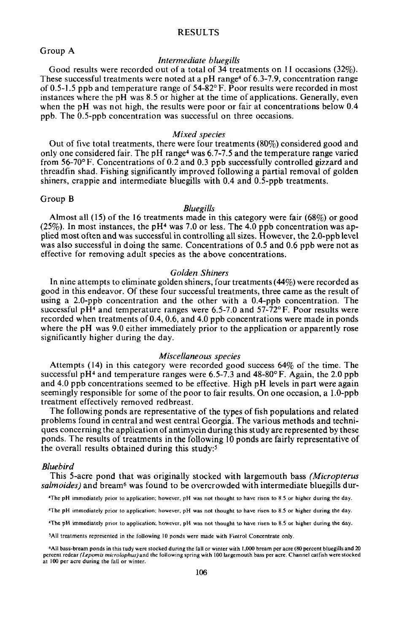## **RESULTS**

## Group A

## *Intermediate bluegills*

Good results were recorded out of a total of 34 treatments on II occasions (32%). These successful treatments were noted at a pH range<sup>4</sup> of  $6.3$ -7.9, concentration range of 0.5-1.5 ppb and temperature range of  $54\text{-}82\degree$  F. Poor results were recorded in most instances where the pH was  $8.5$  or higher at the time of applications. Generally, even when the pH was not high, the results were poor or fair at concentrations below 0.4 ppb. The 0.5-ppb concentration was successful on three occasions.

#### *Mixed species*

Out of five total treatments, there were four treatments (80%) considered good and only one considered fair. The pH range4was 6.7-7.5 and the temperature range varied from 56-70° F. Concentrations of 0.2 and 0.3 ppb successfully controlled gizzard and threadfin shad. Fishing significantly improved following a partial removal of golden shiners, crappie and intermediate bluegills with 0.4 and 0.5-ppb treatments.

#### Group B

## *Bluegills*

Almost all (15) of the 16 treatments made in this category were fair (68%) or good  $(25\%)$ . In most instances, the pH<sup>4</sup> was 7.0 or less. The 4.0 ppb concentration was applied most often and was successful in controlling all sizes. However, the 2.0-ppb level was also successful in doing the same. Concentrations of 0.5 and 0.6 ppb were not as effective for removing adult species as the above concentrations.

## *Golden Shiners*

In nine attempts to eliminate golden shiners, four treatments (44%) were recorded as good in this endeavor. Of these four successful treatments, three came as the result of using a 2.0-ppb concentration and the other with a O.4-ppb concentration. The successful pH<sup>4</sup> and temperature ranges were 6.5-7.0 and  $57\overline{.72^\circ F}$ . Poor results were recorded when treatments of 0.4,0.6, and 4.0 ppb concentrations were made in ponds where the pH was 9.0 either immediately prior to the application or apparently rose significantly higher during the day.

### *Miscellaneous species*

Attempts (14) in this category were recorded good success 64% of the time. The successful pH<sup>4</sup> and temperature ranges were 6.5-7.3 and  $48-80^{\circ}$  F. Again, the 2.0 ppb and 4.0 ppb concentrations seemed to be effective. High pH levels in part were again seemingly responsible for some of the poor to fair results. On one occasion, a I.O-ppb treatment effectively removed redbreast.

The following ponds are representative of the types of fish populations and related problems found in central and west central Georgia. The various methods and techniques concerning the application of antimycin during this study are represented by these ponds. The results of treatments in the fOllowing 10 ponds are fairly representative of the overall results obtained during this study:5

#### *Bluebird*

This 5-acre pond that was originally stocked with largemouth bass *(Micropterus salmoides)* and bream6 was found to be overcrowded with intermediate bluegills dur-

"The pH immediately prior to application; however, pH was not thought to have risen to 8.5 or higher during the day.

"The pH immediately prior to application; however, pH was not thought to have risen to 8.5 or higher during the day.

"The pH immediately prior to app\ication~ however, pH was not thought to have risen to 8.5 or higher during the day.

5All treatments represented in the following 10 ponds were made with Fintrol Concentrate only.

6AII bass-bream ponds in this tudy were stocked during the fall or winter with 1,000 bream per acre (80 percent bluegillsand 20 percent redear *(Lepomis microlophus)* and the following spring with 100 largemouth bass per acre. Channel catfish were stocked at 100 per acre during the fall or winter.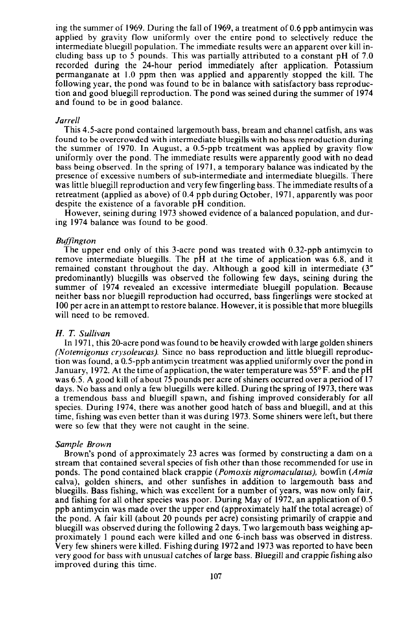ing the summer of 1969. During the fall of 1969, a treatment of 0.6 ppb antimycin was applied by gravity flow uniformly over the entire pond to selectively reduce the intermediate bluegill population. The immediate results were an apparent over kill including bass up to 5 pounds. This was partially attributed to a constant pH of 7.0 recorded during the 24-hour period immediately after application. Potassium permanganate at 1.0 ppm then was applied and apparently stopped the kill. The following year, the pond was found to be in balance with satisfactory bass reproduction and good bluegill reproduction. The pond was seined during the summer of 1974 and found to be in good balance.

#### *Jarrell*

This 4.5-acre pond contained largemouth bass, bream and channel catfish, ans was found to be overcrowded with intermediate bluegills with no bass reproduction during the summer of 1970. In August, a O.5-ppb treatment was applied by gravity flow uniformly over the pond. The immediate results were apparently good with no dead bass being observed. In the spring of 1971, a temporary balance was indicated by the presence of excessive numbers of sub-intermediate and intermediate bluegills. There was little bluegill reproduction and very few fingerling bass. The immediate results of a retreatment (applied as above) of 0.4 ppb during October, 1971, apparently was poor despite the existence of a favorable pH condition.

However, seining during 1973 showed evidence of a balanced population, and during 1974 balance was found to be good.

## *Buffington*

The upper end only of this 3-acre pond was treated with 0.32-ppb antimycin to remove intermediate bluegills. The pH at the time of application was 6.8, and it remained constant throughout the day. Although a good kill in intermediate (3" predominantly) bluegills was observed the following few days, seining during the summer of 1974 revealed an excessive intermediate bluegill population. Because neither bass nor bluegill reproduction had occurred, bass fingerlings were stocked at 100 per acre in an attempt to restore balance. However, it is possible that more bluegills will need to be removed.

## *H. T. Sullivan*

In 1971, this 20-acre pond was found to be heavily crowded with large golden shiners *(Notemigonus crysoleucas).* Since no bass reproduction and little bluegill reproduction was found, a Q.5-ppb antimycin treatment was applied uniformly over the pond in January, 1972. At the time of application, the water temperature was *55°* F. and the pH was 6.5. A good kill of about 75 pounds per acre of shiners occurred over a period of 17 days. No bass and only a few bluegills were killed. During the spring of 1973, there was a tremendous bass and bluegill spawn, and fishing improved considerably for all species. During 1974, there was another good hatch of bass and bluegill, and at this time, fishing was even better than it was during 1973. Some shiners were left, but there were so few that they were not caught in the seine.

## *Sample Brown*

Brown's pond of approximately 23 acres was formed by constructing a dam on a stream that contained several species of fish other than those recommended for use in ponds. The pond contained black crappie *(Pomoxis nigromaculatus),* bowfin *(Amia* calva), golden shiners, and other sunfishes in addition to largemouth bass and bluegills. Bass fishing, which was excellent for a number of years, was now only fair, and fishing for all other species was poor. During May of 1972, an application of 0.5 ppb antimycin was made over the upper end (approximately half the total acreage) of the pond. A fair kill (about 20 pounds per acre) consisting primarily of crappie and bluegill was observed during the following 2 days. Two largemouth bass weighing approximately I pound each were killed and one 6-inch bass was observed in distress. Very few shiners were killed. Fishing during 1972 and 1973 was reported to have been very good for bass with unusual catches of large bass. Bluegill and crappie fishing also improved during this time.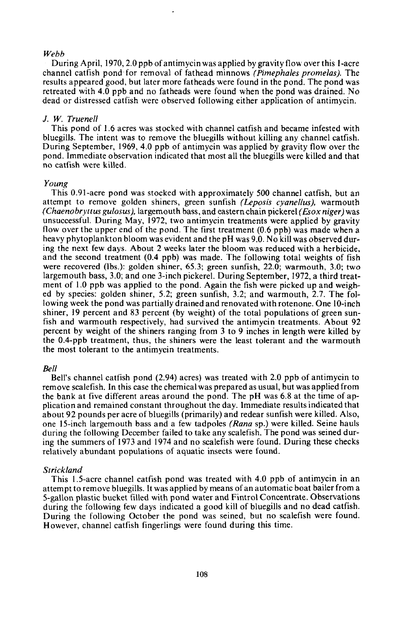## *Webb*

During April, 1970,2.0 ppb of antimycin was applied by gravity flow over this I-acre channel catfish pond for removal of fathead minnows *(Pimephales promelas).* The results appeared good, but later more fatheads were found in the pond. The pond was retreated with 4.0 ppb and no fatheads were found when the pond was drained. No dead or distressed catfish were observed following either application of antimycin.

## J. *W. Truenell*

This pond of 1.6 acres was stocked with channel catfish and became infested with bluegills. The intent was to remove the bluegills without killing any channel catfish. During September, 1969, 4.0 ppb of antimycin was applied by gravity flow over the pond. Immediate observation indicated that most all the bluegills were killed and that no catfish were killed.

## *Young*

This 0.91-acre pond was stocked with approximately 500 channel catfish, but an attempt to remove golden shiners, green sunfish *(Leposis cyanellus),* warmouth *(Chaenobryttus gulosus).* largemouth bass, and eastern chain pickerel *(£Sox niger)* was unsuccessful. During May, 1972, two antimycin treatments were applied by gravity flow over the upper end of the pond. The first treatment (0.6 ppb) was made when a heavy phytoplankton bloom was evident and the pH was 9.0. No kill was observed during the next few days. About 2 weeks later the bloom was reduced with a herbicide, and the second treatment (0.4 ppb) was made. The following total weights of fish were recovered (Ibs.): golden shiner, 65.3; green sunfish, 22.0; warmouth, 3.0; two largemouth bass, 3.0; and one 3-inch pickerel. During September, 1972, a third treatment of 1.0 ppb was applied to the pond. Again the fish were picked up and weighed by species: golden shiner, 5.2; green sunfish, 3.2; and warmouth, 2.7. The following week the pond was partially drained and renovated with rotenone. One IO-inch shiner, 19 percent and 83 percent (by weight) of the total populations of green sunfish and warmouth respectively, had survived the antimycin treatments. About 92 percent by weight of the shiners ranging from 3 to 9 inches in length were killed by the O.4-ppb treatment, thus, the shiners were the least tolerant and the warmouth the most tolerant to the antimycin treatments.

#### *Bell*

Bell's channel catfish pond (2.94) acres) was treated with 2.0 ppb of antimycin to remove scalefish. In this case the chemical was prepared as usual, but was applied from the bank at five different areas around the pond. The pH was 6.8 at the time of application and remained constant throughout the day. Immediate results indicated that about 92 pounds per acre of bluegills (primarily) and redear sunfish were killed. Also, one IS-inch largemouth bass and a few tadpoles *(Rana* sp.) were killed. Seine hauls during the following December failed to take any scalefish. The pond was seined during the summers of 1973 and 1974 and no scalefish were found. During these checks relatively abundant populations of aquatic insects were found.

#### *Strickland*

This 1.5-acre channel catfish pond was treated with 4.0 ppb of antimycin in an attempt to remove bluegills. It was applied by means of an automatic boat bailer from a 5-gallon plastic bucket filled with pond water and Fintrol Concentrate. Observations during the following few days indicated a good kill of bluegills and no dead catfish. During the following October the pond was seined, but no scalefish were found. However, channel catfish fingerlings were found during this time.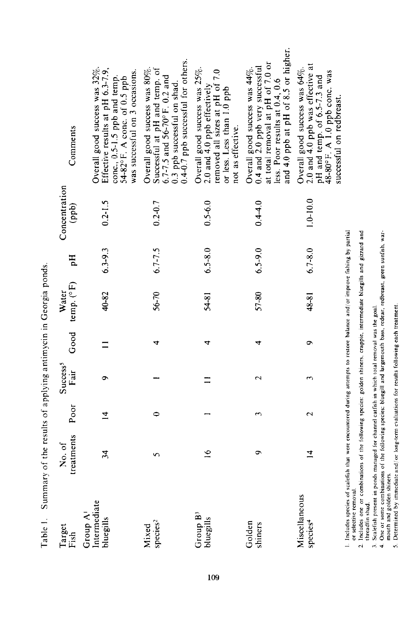| Target<br>Fish                        | treatments<br>No.of | Poor               | Success <sup>5</sup><br>Fair | Good | temp. (°F)<br>Water | Hq          | Concentration<br>(dqq) | Comments                                                                                                                                                                      |
|---------------------------------------|---------------------|--------------------|------------------------------|------|---------------------|-------------|------------------------|-------------------------------------------------------------------------------------------------------------------------------------------------------------------------------|
| Intermediate<br>Group A<br>bluegills  | $\ddot{a}$          | $\overline{4}$     | ᡋ                            |      | 40-82               | $6.3 - 9.3$ | $0.2 - 1.5$            | Overall good success was 32%.<br>Effective results at pH 6.3-7.9,<br>was successful on 3 occasions.<br>conc., 0.5-1.5 ppb and temp.<br>54-82°F. A conc. of 0.5 ppb            |
| species <sup>2</sup><br>Mixed         | 5                   | 0                  |                              | 4    | 56-70               | $6.7 - 7.5$ | $0.2 - 0.7$            | 0.4-0.7 ppb successful for others.<br>Overall good success was 80%.<br>Successful at pH and temp. of<br>6.7-7.5 and $56-70^{\circ}$ F. 0.2 and<br>0.3 ppb successful on shad. |
| Group B <sup>3</sup><br>bluegills     |                     |                    |                              | ᡆ    | 54-81               | $6.5 - 8.0$ | $0.5 - 6.0$            | Overall good success was 25%.<br>removed all sizes at pH of 7.0<br>2.0 and 4.0 ppb effectively<br>or less. Less than 1.0 ppb<br>not as effective.                             |
| Golden<br>shiners                     | ò                   | ς                  | 2                            | 4    | 57-80               | $6.5 - 9.0$ | $0.4 - 4.0$            | and 4.0 ppb at pH of 8.5 or higher.<br>at total removal at pH of 7.0 or<br>0.4 and 2.0 ppb very successful<br>Overall good success was 44%.<br>less. Poor results at 0.4, 0.6 |
| Miscellaneous<br>species <sup>4</sup> | $\overline{4}$      | $\mathbf{\hat{c}}$ |                              | ക    | 48-81               | $6.7 - 8.0$ | $1.0 - 10.0$           | 2.0 and 4.0 ppb was effective at<br>Overall good success was 64%.<br>48-80°F. A 1.0 ppb conc. was<br>pH and temp. of 6.5-7.3 and<br>successful on redbreast.                  |

109

3. Scalefish present in ponds managed for channel catfish in which total removal was the goal.<br>4. One or some combinations of the following species: bluegill and largemouth bass, redear, redbreast, green sunfish, war-<br>mout 5. Determined by immediate and/or long-term evaluations for results following each treatment. 5. Determined by immediate and,/ or long-term evaluations for results following each treatment.mouth and golden shiners.

4. One or some combinations of the following species: bluegill and largemouth bass. redear. redbreast. green sunfish, war-

3. Scalefish present in ponds managed for channel catfish in which total removal was the goal.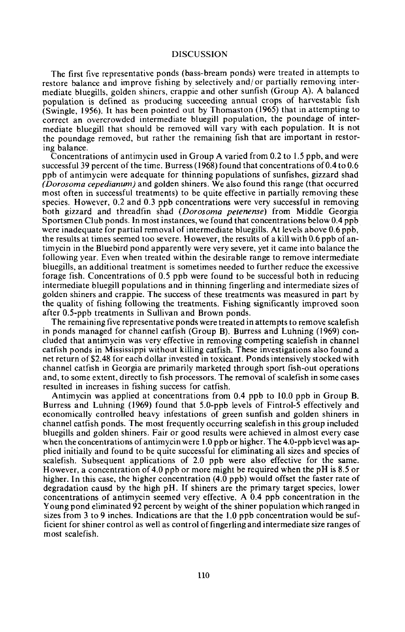# DISCUSSION

The first five representative ponds (bass-bream ponds) were treated in attempts to restore balance and improve fishing by selectively and/ or partially removing intermediate bluegills, golden shiners, crappie and other sunfish (Group A). A balanced population is defined as producing succeeding annual crops of harvestable fish (Swingle, 1956). It has been pointed out by Thomaston  $(1965)$  that in attempting to correct an overcrowded intermediate bluegill population, the poundage of intermediate bluegill that should be removed will vary with each population. It is not the poundage removed, but rather the remaining fish that are important in restoring balance.

Concentrations of antimycin used in Group A varied from 0.2 to 1.5 ppb, and were successful 39 percent of the time. Burress (1968) found that concentrations of 0.4 to 0.6 ppb of antimycin were adequate for thinning populations of sunfishes, gizzard shad *(Dorosoma cepedianum)* and golden shiners. We also found this range (that occurred most often in successful treatments) to be quite effective in partially removing these species. However, 0.2 and 0.3 ppb concentrations were very successful in removing both gizzard and threadfin shad *(Dorosoma petenense)* from Middle Georgia Sportsmen Club ponds. In most instances, we found that concentrations below 0.4 ppb were inadequate for partial removal of intermediate bluegills. At levels above 0.6 ppb, the results at times seemed too severe. However, the results of a kill with 0.6 ppb of antimycin in the Bluebird pond apparently were very severe, yet it came into balance the following year. Even when treated within the desirable range to remove intermediate bluegills, an additional treatment is sometimes needed to further reduce the excessive forage fish. Concentrations of 0.5 ppb were found to be successful both in reducing intermediate bluegill populations and in thinning fingerling and intermediate sizes of golden shiners and crappie. The success of these treatments was measured in part by the quality of fishing following the treatments. Fishing significantly improved soon after 0.5-ppb treatments in Sullivan and Brown ponds.

The remaining five representative ponds were treated in attempts to remove scalefish in ponds managed for channel catfish (Group B). Burress and Luhning (1969) concluded that antimycin was very effective in removing competing scalefish in channel catfish ponds in Mississippi without killing catfish. These investigations also found a net return of \$2.48 for each dollar invested in toxicant. Ponds intensively stocked with channel catfish in Georgia are primarily marketed through sport fish-out operations and, to some extent, directly to fish processors. The removal of scalefish in some cases resulted in increases in fishing success for catfish.

Antimycin was applied at concentrations from 0.4 ppb to 10.0 ppb in Group B. Burress and Luhning (1969) found that 5.0-ppb levels of Fintrol-5 effectively and economically controlled heavy infestations of green sunfish and golden shiners in channel catfish ponds. The most frequently occurring scalefish in this group included bluegills and golden shiners. Fair or good results were achieved in almost every case when the concentrations of antimycin were 1.0 ppb or higher. The 4.0-ppb level was applied initially and found to be quite successful for eliminating all sizes and species of scalefish. Subsequent applications of 2.0 ppb were also effective for the same. However, a concentration of 4.0 ppb or more might be required when the pH is 8.5 or higher. In this case, the higher concentration (4.0 ppb) would offset the faster rate of degradation causd by the high pH. If shiners are the primary target species, lower concentrations of antimycin seemed very effective. A 0.4 ppb concentration in the Young pond eliminated 92 percent by weight of the shiner population which ranged in sizes from 3 to 9 inches. Indications are that the 1.0 ppb concentration would be sufficient for shiner control as well as control offingerling and intermediate size ranges of most scalefish.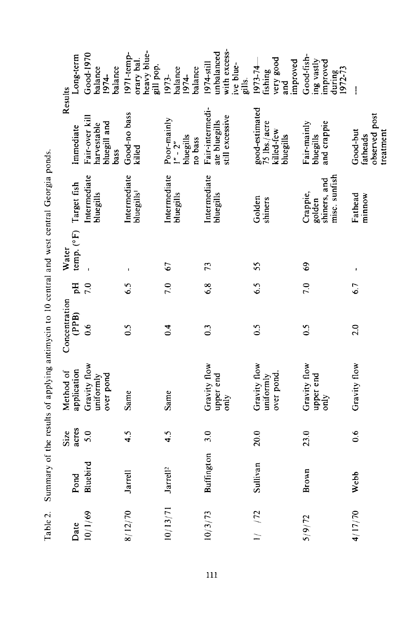Table 2. Summary of the results of applying antimycin to 10 central and west central Georgia ponds. Table 2. Summary of the results of applying antimycin to 10 central and west central Georgia ponds.

|     |          |                     | Size          | Method of                              | Concentration  |     |                                 |                                                     | Results                                                   |                                                                           |
|-----|----------|---------------------|---------------|----------------------------------------|----------------|-----|---------------------------------|-----------------------------------------------------|-----------------------------------------------------------|---------------------------------------------------------------------------|
|     | Date     | Pond                | acres         | application                            | (PPB)          | Hq  | temp. (°F) Target fish<br>Water |                                                     | Immediate                                                 | Long-term                                                                 |
|     | 10/1/69  | Bluebird            | 5.0           | Gravity flow<br>over pond<br>uniformly | $\frac{6}{1}$  | 7.0 |                                 | Intermediate<br>bluegills                           | Fair-over kill<br>bluegill and<br>harvestable<br>bass     | $Good-1970$<br>balance<br>balance<br>1974-                                |
|     | 8/12/70  | Jarrell             | 4.5           | Same                                   | $\ddot{0}$     | 6.5 |                                 | Intermediate<br>bluegills'                          | Good-no bass<br>killed                                    | heavy blue-<br>1971-temp-<br>orary bal.<br>gill pop.                      |
|     | 10/13/71 | Jarrel <sup>2</sup> | 4.5           | Same                                   | 0.4            | 7.0 | 67                              | Intermediate<br>bluegills                           | Poor-mainly<br>bluegills<br>no bass<br>$1'' - 2''$        | balance<br>balance<br>1973-<br>1974-                                      |
| 111 | 10/3/73  | <b>Buffington</b>   | 3.0           | Gravity flow<br>upper end<br>only      | $\overline{0}$ | 6,8 | 73                              | Intermediate<br>bluegills                           | Fair-intermedi-<br>still excessive<br>ate bluegills       | with excess-<br>unbalanced<br>1974-still<br>ive blue-<br>gills.           |
|     | 1/72     | Sullivan            | 20.0          | Gravity flow<br>over pond<br>uniformly | $\frac{5}{2}$  | 6.5 | \$\$                            | Golden<br>shiners                                   | good-estimated<br>75 lbs./acre<br>killed-few<br>bluegills | very good<br>and<br>improved<br>1973-74<br>fishing                        |
|     | 5/9/72   | Brown               | 23.0          | Gravity flow<br>upper end<br>only      | $\frac{5}{2}$  | 7.0 | $\mathbf{e}^9$                  | misc. sunfish<br>shiners, and<br>Crappie,<br>golden | Fair-mainly<br>and crappie<br>bluegills                   | $Good\text{-}fish\text{-}$<br>ing vastly<br>improved<br>during<br>1972-73 |
|     | 4/17/70  | Webb                | $\frac{6}{1}$ | Gravity flow                           | 2.0            | 6.7 |                                 | Fathead<br>minnow                                   | observed post<br>Good-but<br>treatment<br>fatheads        | I                                                                         |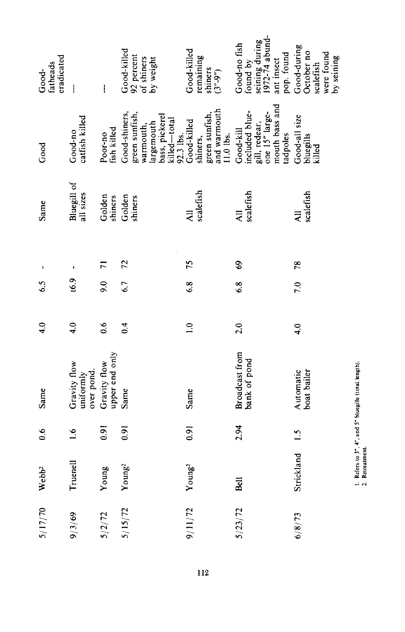| eradicated<br>fatheads<br>Good- | $\overline{\phantom{a}}$                | $\mathbf{I}$                   | Good-killed<br>92 percent<br>of shiners<br>by weight                                                      | Good-killed<br>remaining<br>shiners<br>$(3^{n}.9^{n})$                 | seining during<br>1972-74 abund-<br>Good-no fish<br>pop. found<br>found by<br>ant insect     | Good-during<br>October no<br>were found<br>by seining<br>scalefish |
|---------------------------------|-----------------------------------------|--------------------------------|-----------------------------------------------------------------------------------------------------------|------------------------------------------------------------------------|----------------------------------------------------------------------------------------------|--------------------------------------------------------------------|
| Good                            | catfish killed<br>Good-no               | fish killed<br>Poor-no         | Good-shiners,<br>green sunfish,<br>bass, pickerel<br>killed-total<br>largemouth<br>warmouth,<br>92.3 lbs. | and warmouth<br>green sunfish,<br>Good-killed<br>11.0 lbs.<br>shiners, | mouth bass and<br>included blue-<br>one 15" large-<br>gill, redear,<br>Good-kill<br>tadpoles | Good-all size<br>bluegills<br>killed                               |
| Same                            | Bluegill of<br>all sizes                | Golden<br>shiners              | Golden<br>shiners                                                                                         | scalefish<br>$\overline{a}$                                            | scalefish<br>$\overline{a}$                                                                  | scalefish                                                          |
|                                 |                                         | $\overline{1}$                 | 72                                                                                                        | 75                                                                     | $\mathbf{69}$                                                                                | 78                                                                 |
| $\mathcal{S}$                   | 6.9                                     | 9.0                            | 6.7                                                                                                       | 6.8                                                                    | 6.8                                                                                          | $\overline{0.6}$                                                   |
| $\ddot{ }$                      | $\ddot{ }$                              | 0.6                            | 0.4                                                                                                       | $\frac{1}{2}$                                                          | 2.0                                                                                          | 4.0                                                                |
| Same                            | Gravity flow<br>over pond.<br>uniformly | upper end only<br>Gravity flow | Same                                                                                                      | Same                                                                   | Broadcast from<br>bank of pond                                                               | Automatic<br>boat bailer                                           |
| 0.6                             | $\frac{6}{1}$                           | 0.91                           | 0.91                                                                                                      | 0.91                                                                   | 2.94                                                                                         | $\frac{1}{2}$                                                      |
| Webb <sup>2</sup>               | Truenell                                | Young                          | Young <sup>2</sup>                                                                                        | Young <sup>2</sup>                                                     | Bell                                                                                         | Strickland                                                         |
| 5/17/70                         | 9/3/69                                  | 5/2/72                         | 5/15/72                                                                                                   | 9/11/72                                                                | 5/23/72                                                                                      | 6/8/73                                                             |
|                                 |                                         |                                |                                                                                                           | 112                                                                    |                                                                                              |                                                                    |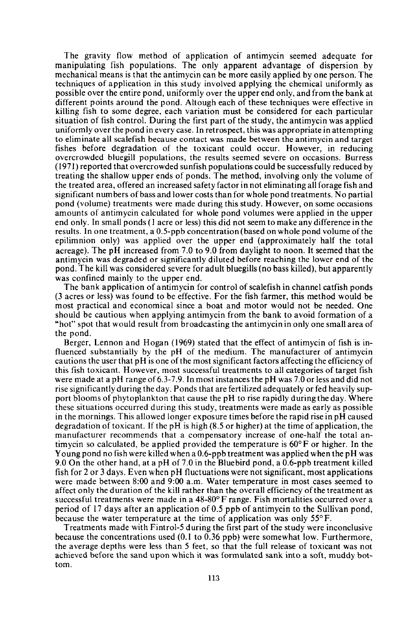The gravity flow method of application of antimycin seemed adequate for manipulating fish populations. The only apparent advantage of dispersion by mechanical means is that the antimycin can be more easily applied by one person. The techniques of application in this study involved applying the chemical uniformly as possible over the entire pond, uniformly over the upper end only, and from the bank at different points around the pond. Altough each of these techniques were effective in killing fish to some degree, each variation must be considered for each particular situation of fish control. During the first part of the study, the antimycin was applied uniformly over the pond in every case. In retrospect, this was appropriate in attempting to eliminate all scalefish because contact was made between the antimycin and target fishes before degradation of the toxicant could occur. However, in reducing overcrowded bluegill populations, the results seemed severe on occasions. Burress (1971) reported that overcrowded sunfish populations could be successfully reduced by treating the shallow upper ends of ponds. The method, involving only the volume of the treated area, offered an increased safety factor in not eliminating all forage fish and significant numbers of bass and lower costs than for whole pond treatments. No partial pond (volume) treatments were made during this study. However, on some occasions amounts of antimycin calculated for whole pond volumes were applied in the upper end only. In small ponds (I acre or less) this did not seem to make any difference in the results. In one treatment, a O.5-ppb concentration (based on whole pond volume ofthe epilimnion only) was applied over the upper end (approximately half the total acreage). The pH increased from 7.0 to 9.0 from daylight to noon. It seemed that the antimycin was degraded or significantly diluted before reaching the lower end of the pond. The kill was considered severe for adult bluegills (no bass killed), but apparently was confined mainly to the upper end.

The bank application of antimycin for control of scalefish in channel catfish ponds (3 acres or less) was found to be effective. For the fish farmer, this method would be most practical and economical since a boat and motor would not be needed. One should be cautious when applying antimycin from the bank to avoid formation of a "hot" spot that would result from broadcasting the antimycin in only one small area of the pond.

Berger, Lennon and Hogan (1969) stated that the effect of antimycin of fish is influenced substantially by the pH of the medium. The manufacturer of antimycin cautions the user that  $pH$  is one of the most significant factors affecting the efficiency of this fish toxicant. However, most successful treatments to all categories of target fish were made at a pH range of 6.3-7.9. In most instances the pH was 7.0 or less and did not rise significantly during the day. Ponds that are fertilized adequately or fed heavily support blooms of phytoplankton that cause the pH to rise rapidly during the day. Where these situations occurred during this study, treatments were made as early as possible in the mornings. This allowed longer exposure times before the rapid rise in pH caused degradation of toxicant. If the pH is high (8.5 or higher) at the time of application, the manufacturer recommends that a compensatory increase of one-half the total antimycin so calculated, be applied provided the temperature is 60°F or higher. In the Young pond no fish were killed when a 0.6-ppb treatment was applied when the pH was 9.0 On the other hand, at a pH of 7.0 in the Bluebird pond, a 0.6-ppb treatment killed fish for 2 or 3 days. Even when pH fluctuations were not significant, most applications were made between 8:00 and 9:00 a.m. Water temperature in most cases seemed to affect only the duration of the kill rather than the overall efficiency ofthe treatment as successful treatments were made in a 48-80° F range. Fish mortalities occurred over a period of 17 days after an application of 0.5 ppb of antimycin to the Sullivan pond, because the water temperature at the time of application was only 55° F.

Treatments made with Fintrol-5 during the first part of the study were inconclusive because the concentrations used (0.1 to 0.36 ppb) were somewhat low. Furthermore, the average depths were less than 5 feet, so that the full release of toxicant was not achieved before the sand upon which it was formulated sank into a soft, muddy bottom.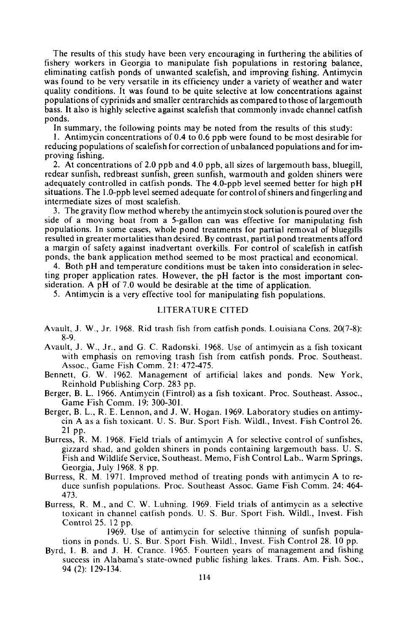The results of this study have been very encouraging in furthering the abilities of fishery workers in Georgia to manipulate fish populations in restoring balance, eliminating catfish ponds of unwanted scalefish, and improving fishing. Antimycin was found to be very versatile in its efficiency under a variety of weather and water quality conditions. It was found to be quite selective at low concentrations against populations of cyprinids and smaller centrarchids as compared to those of largemouth bass. It also is highly selective against scalefish that commonly invade channel catfish ponds.

In summary, the following points may be noted from the results of this study:

I. Antimycin concentrations of 0.4 to 0.6 ppb were found to be most desirable for reducing populations of scalefish for correction of unbalanced populations and for improving fishing.

2. At concentrations of 2.0 ppb and 4.0 ppb, all sizes of largemouth bass, bluegill, redear sunfish, redbreast sunfish, green sunfish, warmouth and golden shiners were adequately controlled in catfish ponds. The 4.0-ppb level seemed better for high pH situations. The 1.0-ppb level seemed adequate for control of shiners and fingerling and intermediate sizes of most scalefish.

3. The gravity flow method whereby the antimycin stock solutionis poured over the side of a moving boat from a 5-gallon can was effective for manipulating fish populations. In some cases, whole pond treatments for partial removal of bluegills resulted in greater mortalities than desired. By contrast, partial pond treatments afford a margin of safety against inadvertant overkills. For control of scalefish in catfish ponds, the bank application method seemed to be most practical and economical.

4. Both pH and temperature conditions must be taken into consideration in selecting proper application rates. However, the pH factor is the most important consideration. A pH of 7.0 would be desirable at the time of application.

5. Antimycin is a very effective tool for manipulating fish populations.

## LITERATURE CITED

- Avault, J. W., Jr. 1968. Rid trash fish from catfish ponds. Louisiana Cons. 20(7-8): 8-9.
- Avault, J. W., Jr., and G. C. Radonski. 1968. Use of antimycin as a fish toxicant with emphasis on removing trash fish from catfish ponds. Proc. Southeast. Assoc., Game Fish Comm. 21: 472-475.
- Bennett, G. W. 1962. Management of artificial lakes and ponds. New York, Reinhold Publishing Corp. 283 pp.
- Berger, B. L. 1966. Antimycin (Fintrol) as a fish toxicant. Proc. Southeast. Assoc., Game Fish Comm. 19: 300-301.
- Berger, B. L., R. E. Lennon, and J. W. Hogan. 1969. Laboratory studies on antimycin A as a fish toxicant. U. S. Bur. Sport Fish. Wild!., Invest. Fish Control 26. 21 pp.
- Burress, R. M. 1968. Field trials of antimycin A for selective control of sunfishes, gizzard shad, and golden shiners in ponds containing largemouth bass. U. S. Fish and Wildlife Service, Southeast. Memo, Fish Control Lab.. Warm Springs, Georgia, July 1968. 8 pp.
- Burress, R. M. 1971. Improved method of treating ponds with antimycin A to reduce sunfish populations. Proc. Southeast Assoc. Game Fish Comm. 24: 464- 473.
- Burress, R. M., and C. W. Luhning. 1969. Field trials of antimycin as a selective toxicant in channel catfish ponds. U. S. Bur. Sport Fish. Wildl., Invest. Fish Control 25. 12 pp.

1969. Use of antimycin for selective thinning of sunfish populations in ponds. U. S. Bur. Sport Fish. Wildl., Invest. Fish Control 28. 10 pp.

Byrd, I. B. and J. H. Crance. 1965. Fourteen years of management and fishing success in Alabama's state-owned public fishing lakes. Trans. Am. Fish. Soc., 94 (2): 129-134.